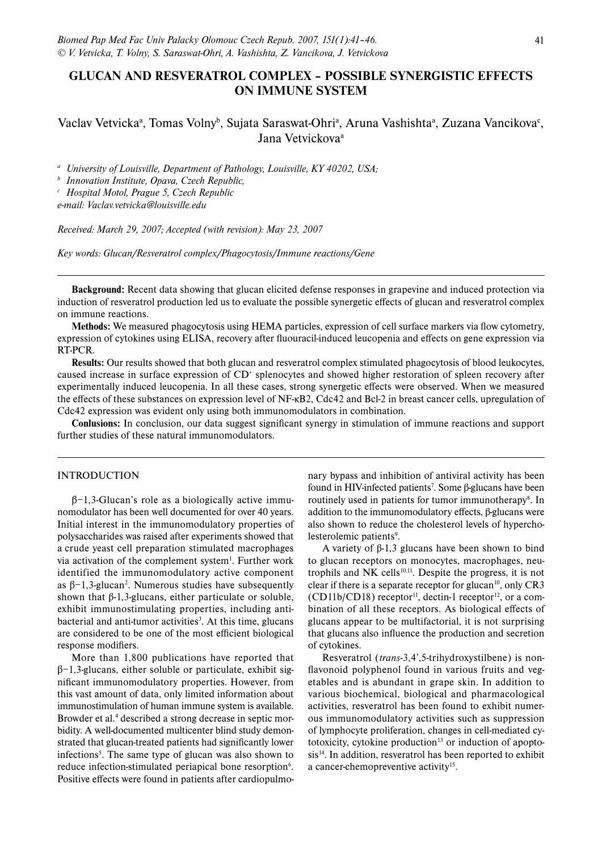# **GLUCAN AND RESVERATROL COMPLEX – POSSIBLE SYNERGISTIC EFFECTS ON IMMUNE SYSTEM**

# Vaclav Vetvicka<sup>a</sup>, Tomas Volny<sup>b</sup>, Sujata Saraswat-Ohri<sup>a</sup>, Aruna Vashishta<sup>a</sup>, Zuzana Vancikova<sup>c</sup>, Jana Vetvickova<sup>a</sup>

*a University of Louisville, Department of Pathology, Louisville, KY 40202, USA; b Innovation Institute, Opava, Czech Republic,*

*c Hospital Motol, Prague 5, Czech Republic*

*e-mail: Vaclav.vetvicka@louisville.edu*

*Received: March 29, 2007; Accepted (with revision): May 23, 2007*

*Key words: Glucan/Resveratrol complex/Phagocytosis/Immune reactions/Gene*

**Background:** Recent data showing that glucan elicited defense responses in grapevine and induced protection via induction of resveratrol production led us to evaluate the possible synergetic effects of glucan and resveratrol complex on immune reactions.

Methods: We measured phagocytosis using HEMA particles, expression of cell surface markers via flow cytometry, expression of cytokines using ELISA, recovery after fluouracil-induced leucopenia and effects on gene expression via RT-PCR.

**Results:** Our results showed that both glucan and resveratrol complex stimulated phagocytosis of blood leukocytes, caused increase in surface expression of  $CD^*$  splenocytes and showed higher restoration of spleen recovery after experimentally induced leucopenia. In all these cases, strong synergetic effects were observed. When we measured the effects of these substances on expression level of NF-κB2, Cdc42 and Bcl-2 in breast cancer cells, upregulation of Cdc42 expression was evident only using both immunomodulators in combination.

**Conlusions:** In conclusion, our data suggest significant synergy in stimulation of immune reactions and support further studies of these natural immunomodulators.

## INTRODUCTION

β−1,3-Glucan's role as a biologically active immunomodulator has been well documented for over 40 years. Initial interest in the immunomodulatory properties of polysaccharides was raised after experiments showed that a crude yeast cell preparation stimulated macrophages via activation of the complement system<sup>1</sup>. Further work identified the immunomodulatory active component as  $\beta$ -1,3-glucan<sup>2</sup>. Numerous studies have subsequently shown that  $\beta$ -1,3-glucans, either particulate or soluble, exhibit immunostimulating properties, including antibacterial and anti-tumor activities<sup>3</sup>. At this time, glucans are considered to be one of the most efficient biological response modifiers.

More than 1,800 publications have reported that β−1,3-glucans, either soluble or particulate, exhibit significant immunomodulatory properties. However, from this vast amount of data, only limited information about immunostimulation of human immune system is available. Browder et al.<sup>4</sup> described a strong decrease in septic morbidity. A well-documented multicenter blind study demonstrated that glucan-treated patients had significantly lower infections<sup>5</sup>. The same type of glucan was also shown to reduce infection-stimulated periapical bone resorption<sup>6</sup>. Positive effects were found in patients after cardiopulmo-

nary bypass and inhibition of antiviral activity has been found in HIV-infected patients<sup>7</sup>. Some β-glucans have been routinely used in patients for tumor immunotherapy<sup>8</sup>. In addition to the immunomodulatory effects,  $\beta$ -glucans were also shown to reduce the cholesterol levels of hypercholesterolemic patients<sup>9</sup>.

A variety of β-1,3 glucans have been shown to bind to glucan receptors on monocytes, macrophages, neutrophils and NK cells<sup>10,11</sup>. Despite the progress, it is not clear if there is a separate receptor for glucan<sup>10</sup>, only  $CR3$  $(CD11b/CD18)$  receptor<sup>11</sup>, dectin-1 receptor<sup>12</sup>, or a combination of all these receptors. As biological effects of glucans appear to be multifactorial, it is not surprising that glucans also influence the production and secretion of cytokines.

Resveratrol (*trans*-3,4',5-trihydroxystilbene) is nonflavonoid polyphenol found in various fruits and vegetables and is abundant in grape skin. In addition to various biochemical, biological and pharmacological activities, resveratrol has been found to exhibit numerous immunomodulatory activities such as suppression of lymphocyte proliferation, changes in cell-mediated cytotoxicity, cytokine production $13$  or induction of apopto $sis<sup>14</sup>$ . In addition, resveratrol has been reported to exhibit a cancer-chemopreventive activity<sup>15</sup>.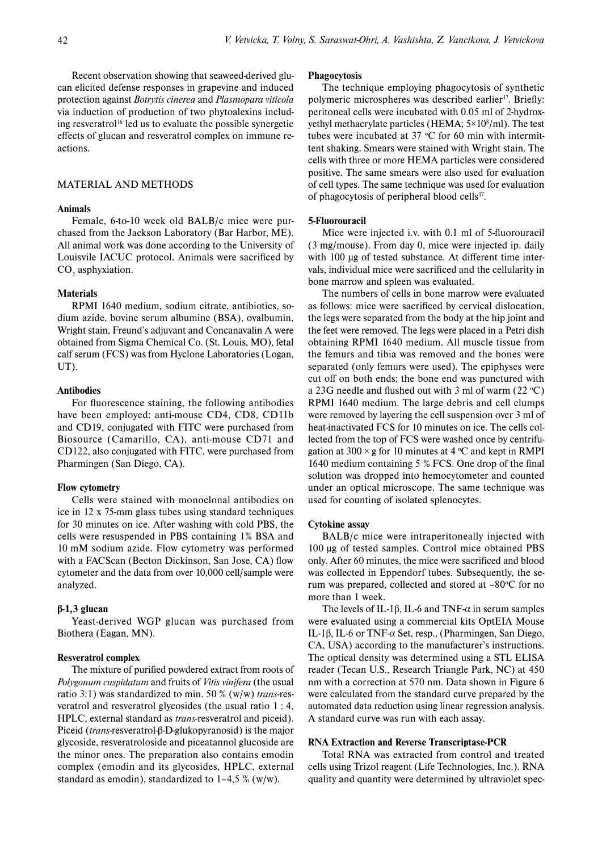Recent observation showing that seaweed-derived glucan elicited defense responses in grapevine and induced protection against *Botrytis cinerea* and *Plasmopara viticola*  via induction of production of two phytoalexins including resveratrol<sup>16</sup> led us to evaluate the possible synergetic effects of glucan and resveratrol complex on immune reactions.

# MATERIAL AND METHODS

#### **Animals**

Female, 6-to-10 week old BALB/c mice were purchased from the Jackson Laboratory (Bar Harbor, ME). All animal work was done according to the University of Louisvile IACUC protocol. Animals were sacrificed by  $CO<sub>2</sub>$  asphyxiation.

#### **Materials**

RPMI 1640 medium, sodium citrate, antibiotics, sodium azide, bovine serum albumine (BSA), ovalbumin, Wright stain, Freund's adjuvant and Concanavalin A were obtained from Sigma Chemical Co. (St. Louis, MO), fetal calf serum (FCS) was from Hyclone Laboratories (Logan, UT).

## **Antibodies**

For fluorescence staining, the following antibodies have been employed: anti-mouse CD4, CD8, CD11b and CD19, conjugated with FITC were purchased from Biosource (Camarillo, CA), anti-mouse CD71 and CD122, also conjugated with FITC, were purchased from Pharmingen (San Diego, CA).

### **Flow cytometry**

Cells were stained with monoclonal antibodies on ice in 12 x 75-mm glass tubes using standard techniques for 30 minutes on ice. After washing with cold PBS, the cells were resuspended in PBS containing 1% BSA and 10 mM sodium azide. Flow cytometry was performed with a FACScan (Becton Dickinson, San Jose, CA) flow cytometer and the data from over 10,000 cell/sample were analyzed.

#### **β-1,3 glucan**

Yeast-derived WGP glucan was purchased from Biothera (Eagan, MN).

#### **Resveratrol complex**

The mixture of purified powdered extract from roots of *Polygonum cuspidatum* and fruits of *Vitis vinifera* (the usual ratio 3:1) was standardized to min. 50 % (w/w) *trans*-resveratrol and resveratrol glycosides (the usual ratio 1 : 4, HPLC, external standard as *trans*-resveratrol and piceid). Piceid (*trans*-resveratrol-β-D-glukopyranosid) is the major glycoside, resveratroloside and piceatannol glucoside are the minor ones. The preparation also contains emodin complex (emodin and its glycosides, HPLC, external standard as emodin), standardized to  $1-4,5\%$  (w/w).

#### **Phagocytosis**

The technique employing phagocytosis of synthetic polymeric microspheres was described earlier<sup>17</sup>. Briefly: peritoneal cells were incubated with 0.05 ml of 2-hydroxyethyl methacrylate particles (HEMA; 5×10<sup>8</sup>/ml). The test tubes were incubated at 37  $\mathrm{^{\circ}C}$  for 60 min with intermittent shaking. Smears were stained with Wright stain. The cells with three or more HEMA particles were considered positive. The same smears were also used for evaluation of cell types. The same technique was used for evaluation of phagocytosis of peripheral blood cells<sup>17</sup>.

#### **5-Fluorouracil**

Mice were injected i.v. with 0.1 ml of 5-fluorouracil (3 mg/mouse). From day 0, mice were injected ip. daily with 100 μg of tested substance. At different time intervals, individual mice were sacrificed and the cellularity in bone marrow and spleen was evaluated.

The numbers of cells in bone marrow were evaluated as follows: mice were sacrificed by cervical dislocation, the legs were separated from the body at the hip joint and the feet were removed. The legs were placed in a Petri dish obtaining RPMI 1640 medium. All muscle tissue from the femurs and tibia was removed and the bones were separated (only femurs were used). The epiphyses were cut off on both ends; the bone end was punctured with a 23G needle and flushed out with 3 ml of warm  $(22 °C)$ RPMI 1640 medium. The large debris and cell clumps were removed by layering the cell suspension over 3 ml of heat-inactivated FCS for 10 minutes on ice. The cells collected from the top of FCS were washed once by centrifugation at  $300 \times g$  for 10 minutes at 4 °C and kept in RMPI 1640 medium containing 5 % FCS. One drop of the final solution was dropped into hemocytometer and counted under an optical microscope. The same technique was used for counting of isolated splenocytes.

#### **Cytokine assay**

BALB/c mice were intraperitoneally injected with 100 μg of tested samples. Control mice obtained PBS only. After 60 minutes, the mice were sacrificed and blood was collected in Eppendorf tubes. Subsequently, the serum was prepared, collected and stored at -80°C for no more than 1 week.

The levels of IL-1β, IL-6 and TNF- $\alpha$  in serum samples were evaluated using a commercial kits OptEIA Mouse IL-1β, IL-6 or TNF-α Set, resp., (Pharmingen, San Diego, CA, USA) according to the manufacturer's instructions. The optical density was determined using a STL ELISA reader (Tecan U.S., Research Triangle Park, NC) at 450 nm with a correction at 570 nm. Data shown in Figure 6 were calculated from the standard curve prepared by the automated data reduction using linear regression analysis. A standard curve was run with each assay.

#### **RNA Extraction and Reverse Transcriptase-PCR**

Total RNA was extracted from control and treated cells using Trizol reagent (Life Technologies, Inc.). RNA quality and quantity were determined by ultraviolet spec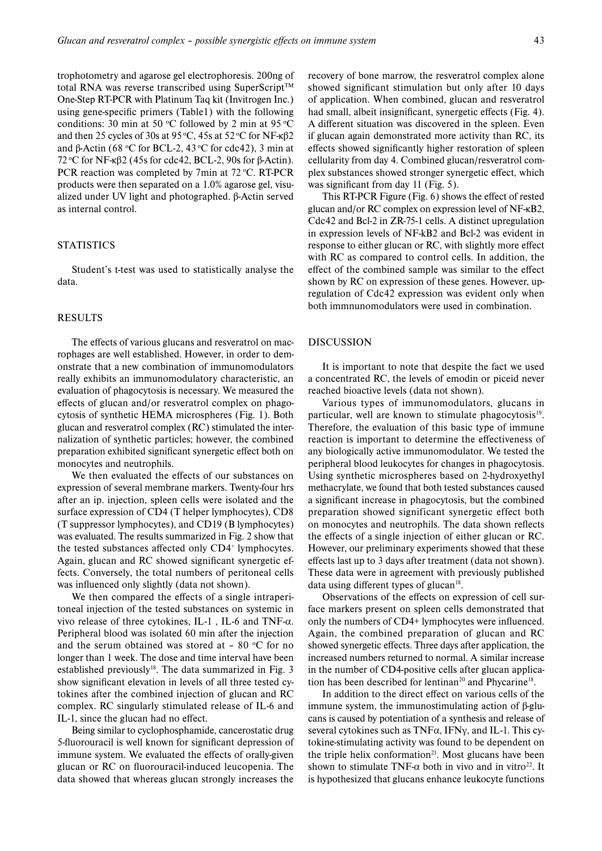trophotometry and agarose gel electrophoresis. 200ng of total RNA was reverse transcribed using SuperScript<sup>TM</sup> One-Step RT-PCR with Platinum Taq kit (Invitrogen Inc.) using gene-specific primers (Table1) with the following conditions: 30 min at 50 °C followed by 2 min at 95 °C and then 25 cycles of 30s at 95 °C, 45s at 52 °C for NF-κβ2 and β-Actin (68 °C for BCL-2, 43 °C for cdc42), 3 min at 72 °C for NF-κβ2 (45s for cdc42, BCL-2, 90s for β-Actin). PCR reaction was completed by 7min at  $72 \degree$ C. RT-PCR products were then separated on a 1.0% agarose gel, visualized under UV light and photographed. β-Actin served as internal control.

# **STATISTICS**

Student's t-test was used to statistically analyse the data.

# RESULTS

The effects of various glucans and resveratrol on macrophages are well established. However, in order to demonstrate that a new combination of immunomodulators really exhibits an immunomodulatory characteristic, an evaluation of phagocytosis is necessary. We measured the effects of glucan and/or resveratrol complex on phagocytosis of synthetic HEMA microspheres (Fig. 1). Both glucan and resveratrol complex (RC) stimulated the internalization of synthetic particles; however, the combined preparation exhibited significant synergetic effect both on monocytes and neutrophils.

We then evaluated the effects of our substances on expression of several membrane markers. Twenty-four hrs after an ip. injection, spleen cells were isolated and the surface expression of CD4 (T helper lymphocytes), CD8 (T suppressor lymphocytes), and CD19 (B lymphocytes) was evaluated. The results summarized in Fig. 2 show that the tested substances affected only CD4<sup>+</sup> lymphocytes. Again, glucan and RC showed significant synergetic effects. Conversely, the total numbers of peritoneal cells was influenced only slightly (data not shown).

We then compared the effects of a single intraperitoneal injection of the tested substances on systemic in vivo release of three cytokines, IL-1 , IL-6 and TNF-α. Peripheral blood was isolated 60 min after the injection and the serum obtained was stored at  $-80$  °C for no longer than 1 week. The dose and time interval have been established previously<sup>18</sup>. The data summarized in Fig. 3 show significant elevation in levels of all three tested cytokines after the combined injection of glucan and RC complex. RC singularly stimulated release of IL-6 and IL-1, since the glucan had no effect.

Being similar to cyclophosphamide, cancerostatic drug 5-fluorouracil is well known for significant depression of immune system. We evaluated the effects of orally-given glucan or RC on fluorouracil-induced leucopenia. The data showed that whereas glucan strongly increases the recovery of bone marrow, the resveratrol complex alone showed significant stimulation but only after 10 days of application. When combined, glucan and resveratrol had small, albeit insignificant, synergetic effects (Fig. 4). A different situation was discovered in the spleen. Even if glucan again demonstrated more activity than RC, its effects showed significantly higher restoration of spleen cellularity from day 4. Combined glucan/resveratrol complex substances showed stronger synergetic effect, which was significant from day 11 (Fig.  $5$ ).

This RT-PCR Figure (Fig. 6) shows the effect of rested glucan and/or RC complex on expression level of NF-κB2, Cdc42 and Bcl-2 in ZR-75-1 cells. A distinct upregulation in expression levels of NF-kB2 and Bcl-2 was evident in response to either glucan or RC, with slightly more effect with RC as compared to control cells. In addition, the effect of the combined sample was similar to the effect shown by RC on expression of these genes. However, upregulation of Cdc42 expression was evident only when both immnunomodulators were used in combination.

#### DISCUSSION

It is important to note that despite the fact we used a concentrated RC, the levels of emodin or piceid never reached bioactive levels (data not shown).

Various types of immunomodulators, glucans in particular, well are known to stimulate phagocytosis $19$ . Therefore, the evaluation of this basic type of immune reaction is important to determine the effectiveness of any biologically active immunomodulator. We tested the peripheral blood leukocytes for changes in phagocytosis. Using synthetic microspheres based on 2-hydroxyethyl methacrylate, we found that both tested substances caused a significant increase in phagocytosis, but the combined preparation showed significant synergetic effect both on monocytes and neutrophils. The data shown reflects the effects of a single injection of either glucan or RC. However, our preliminary experiments showed that these effects last up to 3 days after treatment (data not shown). These data were in agreement with previously published data using different types of glucan $18$ .

Observations of the effects on expression of cell surface markers present on spleen cells demonstrated that only the numbers of CD4+ lymphocytes were influenced. Again, the combined preparation of glucan and RC showed synergetic effects. Three days after application, the increased numbers returned to normal. A similar increase in the number of CD4-positive cells after glucan application has been described for lentinan<sup>20</sup> and Phycarine<sup>18</sup>.

In addition to the direct effect on various cells of the immune system, the immunostimulating action of β-glucans is caused by potentiation of a synthesis and release of several cytokines such as  $TNF\alpha$ , IFN<sub>Y</sub>, and IL-1. This cytokine-stimulating activity was found to be dependent on the triple helix conformation<sup>21</sup>. Most glucans have been shown to stimulate TNF- $\alpha$  both in vivo and in vitro<sup>22</sup>. It is hypothesized that glucans enhance leukocyte functions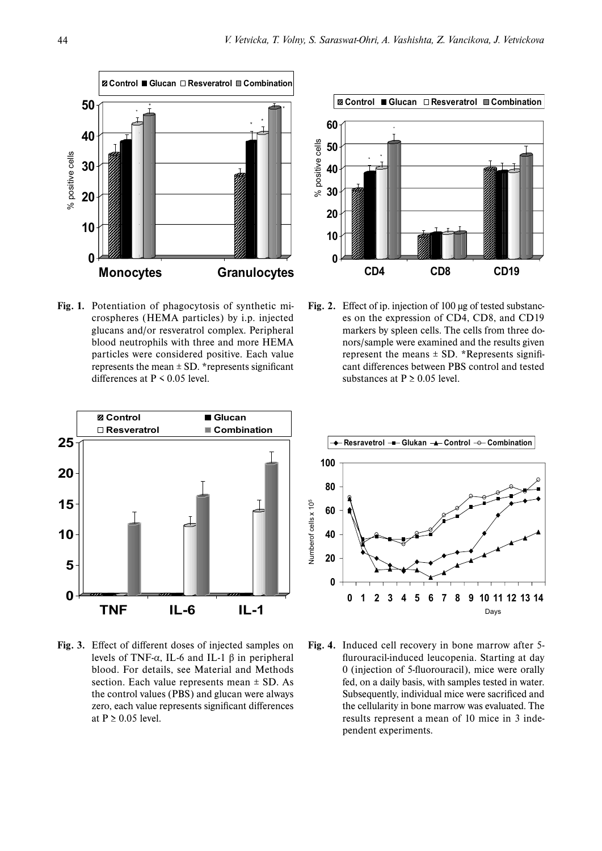

**Fig. 1.** Potentiation of phagocytosis of synthetic microspheres (HEMA particles) by i.p. injected glucans and/or resveratrol complex. Peripheral blood neutrophils with three and more HEMA particles were considered positive. Each value represents the mean  $\pm$  SD. \*represents significant differences at  $P \le 0.05$  level.



**Fig. 2.** Effect of ip. injection of 100 μg of tested substances on the expression of CD4, CD8, and CD19 markers by spleen cells. The cells from three donors/sample were examined and the results given represent the means  $\pm$  SD. \*Represents significant differences between PBS control and tested substances at  $P \ge 0.05$  level.



Fig. 3. Effect of different doses of injected samples on levels of TNF-α, IL-6 and IL-1 β in peripheral blood. For details, see Material and Methods section. Each value represents mean  $\pm$  SD. As the control values (PBS) and glucan were always zero, each value represents significant differences at  $P > 0.05$  level.



**Fig. 4.** Induced cell recovery in bone marrow after 5 flurouracil-induced leucopenia. Starting at day 0 (injection of 5-fluorouracil), mice were orally fed, on a daily basis, with samples tested in water. Subsequently, individual mice were sacrificed and the cellularity in bone marrow was evaluated. The results represent a mean of 10 mice in 3 independent experiments.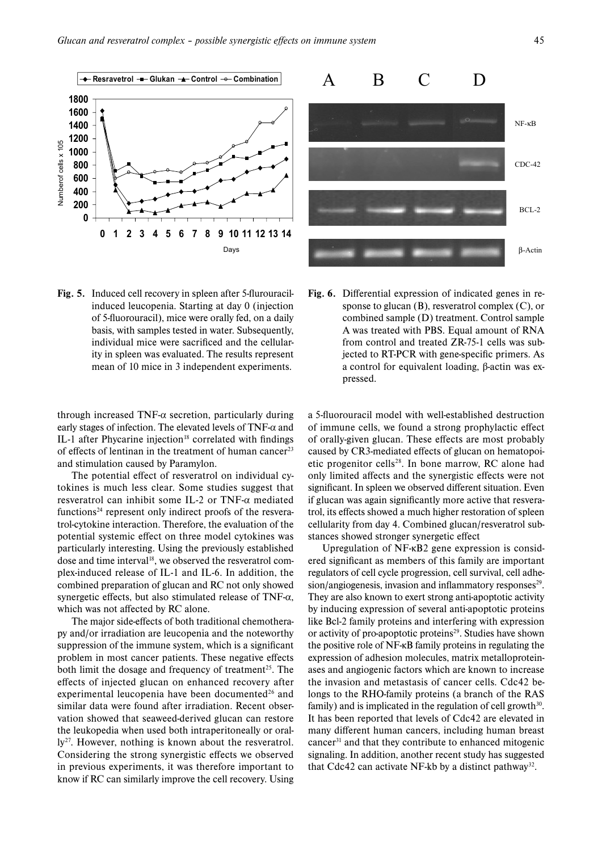

**Fig. 5.** Induced cell recovery in spleen after 5-flurouracilinduced leucopenia. Starting at day 0 (injection of 5-fluorouracil), mice were orally fed, on a daily basis, with samples tested in water. Subsequently, individual mice were sacrificed and the cellularity in spleen was evaluated. The results represent mean of 10 mice in 3 independent experiments.

through increased TNF- $\alpha$  secretion, particularly during early stages of infection. The elevated levels of TNF- $\alpha$  and IL-1 after Phycarine injection<sup>18</sup> correlated with findings of effects of lentinan in the treatment of human cancer<sup>23</sup> and stimulation caused by Paramylon.

The potential effect of resveratrol on individual cytokines is much less clear. Some studies suggest that resveratrol can inhibit some IL-2 or TNF-α mediated functions<sup>24</sup> represent only indirect proofs of the resveratrol-cytokine interaction. Therefore, the evaluation of the potential systemic effect on three model cytokines was particularly interesting. Using the previously established dose and time interval<sup>18</sup>, we observed the resveratrol complex-induced release of IL-1 and IL-6. In addition, the combined preparation of glucan and RC not only showed synergetic effects, but also stimulated release of TNF- $\alpha$ , which was not affected by RC alone.

The major side-effects of both traditional chemotherapy and/or irradiation are leucopenia and the noteworthy suppression of the immune system, which is a significant problem in most cancer patients. These negative effects both limit the dosage and frequency of treatment<sup>25</sup>. The effects of injected glucan on enhanced recovery after experimental leucopenia have been documented $26$  and similar data were found after irradiation. Recent observation showed that seaweed-derived glucan can restore the leukopedia when used both intraperitoneally or oral- $1y^{27}$ . However, nothing is known about the resveratrol. Considering the strong synergistic effects we observed in previous experiments, it was therefore important to know if RC can similarly improve the cell recovery. Using



Fig. 6. Differential expression of indicated genes in response to glucan (B), resveratrol complex (C), or combined sample (D) treatment. Control sample A was treated with PBS. Equal amount of RNA from control and treated ZR-75-1 cells was subjected to RT-PCR with gene-specific primers. As a control for equivalent loading, β-actin was expressed.

a 5-fluorouracil model with well-established destruction of immune cells, we found a strong prophylactic effect of orally-given glucan. These effects are most probably caused by CR3-mediated effects of glucan on hematopoietic progenitor cells<sup>28</sup>. In bone marrow, RC alone had only limited affects and the synergistic effects were not significant. In spleen we observed different situation. Even if glucan was again significantly more active that resveratrol, its effects showed a much higher restoration of spleen cellularity from day 4. Combined glucan/resveratrol substances showed stronger synergetic effect

Upregulation of NF-κB2 gene expression is considered significant as members of this family are important regulators of cell cycle progression, cell survival, cell adhesion/angiogenesis, invasion and inflammatory responses $2^9$ . They are also known to exert strong anti-apoptotic activity by inducing expression of several anti-apoptotic proteins like Bcl-2 family proteins and interfering with expression or activity of pro-apoptotic proteins<sup>29</sup>. Studies have shown the positive role of NF-κB family proteins in regulating the expression of adhesion molecules, matrix metalloproteinases and angiogenic factors which are known to increase the invasion and metastasis of cancer cells. Cdc42 belongs to the RHO-family proteins (a branch of the RAS family) and is implicated in the regulation of cell growth $30$ . It has been reported that levels of Cdc42 are elevated in many different human cancers, including human breast cancer31 and that they contribute to enhanced mitogenic signaling. In addition, another recent study has suggested that Cdc42 can activate NF-kb by a distinct pathway<sup>32</sup>.